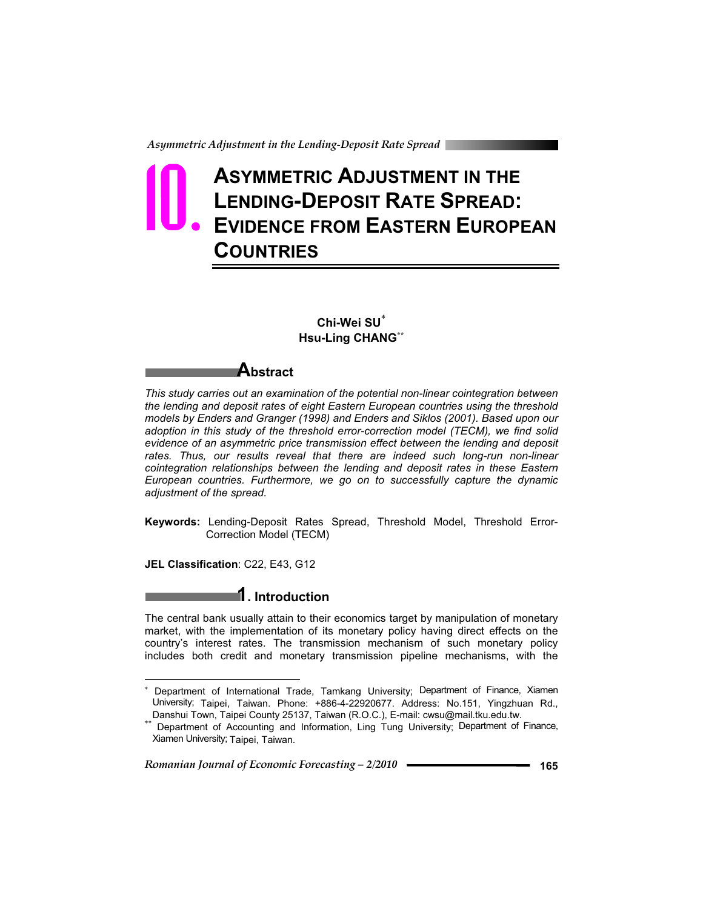# **ASYMMETRIC ADJUSTMENT IN THE LENDING-DEPOSIT RATE SPREAD: EVIDENCE FROM EASTERN EUROPEAN COUNTRIES 10.**

### **Chi-Wei SU Hsu-Ling CHANG\*\***

### **Abstract**

*This study carries out an examination of the potential non-linear cointegration between the lending and deposit rates of eight Eastern European countries using the threshold models by Enders and Granger (1998) and Enders and Siklos (2001). Based upon our adoption in this study of the threshold error-correction model (TECM), we find solid evidence of an asymmetric price transmission effect between the lending and deposit*  rates. Thus, our results reveal that there are indeed such long-run non-linear *cointegration relationships between the lending and deposit rates in these Eastern European countries. Furthermore, we go on to successfully capture the dynamic adjustment of the spread.* 

**Keywords:** Lending-Deposit Rates Spread, Threshold Model, Threshold Error-Correction Model (TECM)

**JEL Classification**: C22, E43, G12

 $\overline{a}$ 

**1. Introduction** 

The central bank usually attain to their economics target by manipulation of monetary market, with the implementation of its monetary policy having direct effects on the country's interest rates. The transmission mechanism of such monetary policy includes both credit and monetary transmission pipeline mechanisms, with the

<sup>8</sup>  Department of International Trade, Tamkang University; Department of Finance, Xiamen University; Taipei, Taiwan. Phone: +886-4-22920677. Address: No.151, Yingzhuan Rd., Danshui Town, Taipei County 25137, Taiwan (R.O.C.), E-mail: cwsu@mail.tku.edu.tw.

Department of Accounting and Information, Ling Tung University; Department of Finance, Xiamen University; Taipei, Taiwan.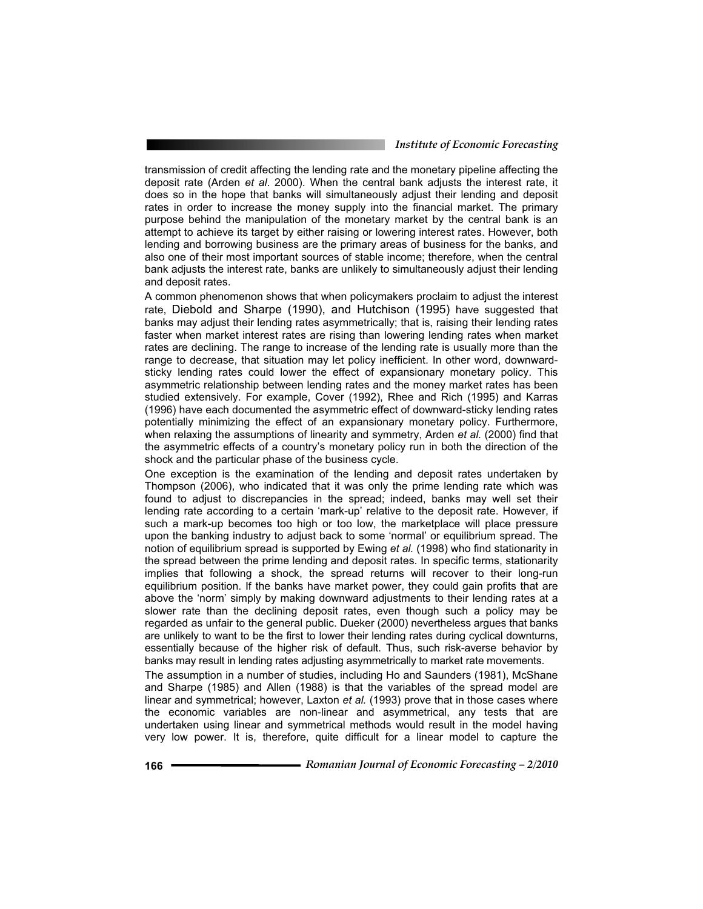#### *Institute of Economic Forecasting*

transmission of credit affecting the lending rate and the monetary pipeline affecting the deposit rate (Arden *et al*. 2000). When the central bank adjusts the interest rate, it does so in the hope that banks will simultaneously adjust their lending and deposit rates in order to increase the money supply into the financial market. The primary purpose behind the manipulation of the monetary market by the central bank is an attempt to achieve its target by either raising or lowering interest rates. However, both lending and borrowing business are the primary areas of business for the banks, and also one of their most important sources of stable income; therefore, when the central bank adjusts the interest rate, banks are unlikely to simultaneously adjust their lending and deposit rates.

A common phenomenon shows that when policymakers proclaim to adjust the interest rate, Diebold and Sharpe (1990), and Hutchison (1995) have suggested that banks may adjust their lending rates asymmetrically; that is, raising their lending rates faster when market interest rates are rising than lowering lending rates when market rates are declining. The range to increase of the lending rate is usually more than the range to decrease, that situation may let policy inefficient. In other word, downwardsticky lending rates could lower the effect of expansionary monetary policy. This asymmetric relationship between lending rates and the money market rates has been studied extensively. For example, Cover (1992), Rhee and Rich (1995) and Karras (1996) have each documented the asymmetric effect of downward-sticky lending rates potentially minimizing the effect of an expansionary monetary policy. Furthermore, when relaxing the assumptions of linearity and symmetry, Arden *et al.* (2000) find that the asymmetric effects of a country's monetary policy run in both the direction of the shock and the particular phase of the business cycle.

One exception is the examination of the lending and deposit rates undertaken by Thompson (2006), who indicated that it was only the prime lending rate which was found to adjust to discrepancies in the spread; indeed, banks may well set their lending rate according to a certain 'mark-up' relative to the deposit rate. However, if such a mark-up becomes too high or too low, the marketplace will place pressure upon the banking industry to adjust back to some 'normal' or equilibrium spread. The notion of equilibrium spread is supported by Ewing *et al.* (1998) who find stationarity in the spread between the prime lending and deposit rates. In specific terms, stationarity implies that following a shock, the spread returns will recover to their long-run equilibrium position. If the banks have market power, they could gain profits that are above the 'norm' simply by making downward adjustments to their lending rates at a slower rate than the declining deposit rates, even though such a policy may be regarded as unfair to the general public. Dueker (2000) nevertheless argues that banks are unlikely to want to be the first to lower their lending rates during cyclical downturns, essentially because of the higher risk of default. Thus, such risk-averse behavior by banks may result in lending rates adjusting asymmetrically to market rate movements.

The assumption in a number of studies, including Ho and Saunders (1981), McShane and Sharpe (1985) and Allen (1988) is that the variables of the spread model are linear and symmetrical; however, Laxton *et al.* (1993) prove that in those cases where the economic variables are non-linear and asymmetrical, any tests that are undertaken using linear and symmetrical methods would result in the model having very low power. It is, therefore, quite difficult for a linear model to capture the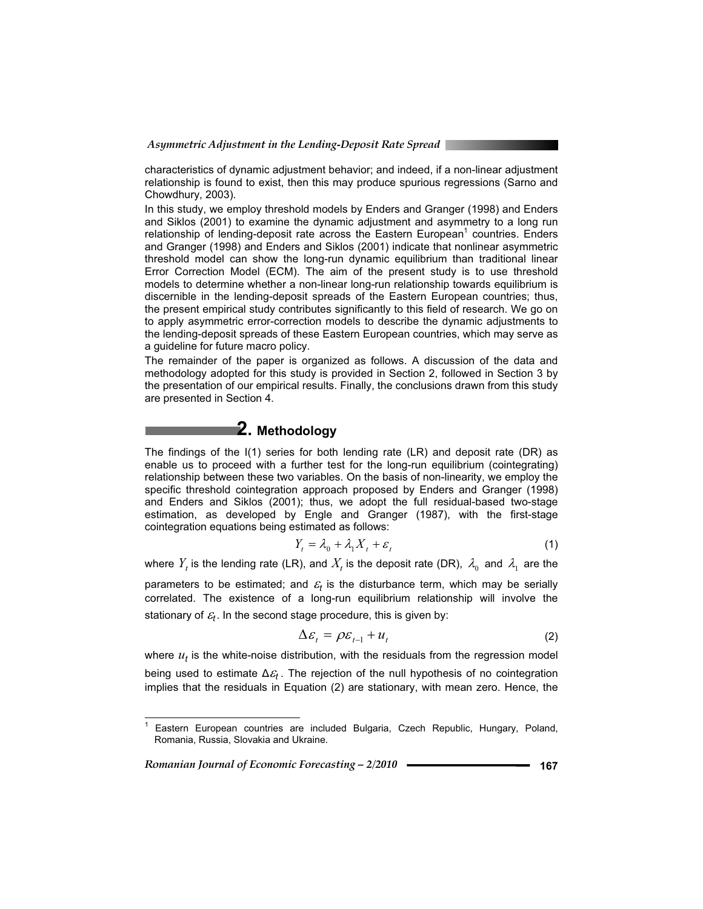characteristics of dynamic adjustment behavior; and indeed, if a non-linear adjustment relationship is found to exist, then this may produce spurious regressions (Sarno and Chowdhury, 2003).

In this study, we employ threshold models by Enders and Granger (1998) and Enders and Siklos (2001) to examine the dynamic adjustment and asymmetry to a long run relationship of lending-deposit rate across the Eastern European<sup>1</sup> countries. Enders and Granger (1998) and Enders and Siklos (2001) indicate that nonlinear asymmetric threshold model can show the long-run dynamic equilibrium than traditional linear Error Correction Model (ECM). The aim of the present study is to use threshold models to determine whether a non-linear long-run relationship towards equilibrium is discernible in the lending-deposit spreads of the Eastern European countries; thus, the present empirical study contributes significantly to this field of research. We go on to apply asymmetric error-correction models to describe the dynamic adjustments to the lending-deposit spreads of these Eastern European countries, which may serve as a guideline for future macro policy.

The remainder of the paper is organized as follows. A discussion of the data and methodology adopted for this study is provided in Section 2, followed in Section 3 by the presentation of our empirical results. Finally, the conclusions drawn from this study are presented in Section 4.

# **2. Methodology**

The findings of the I(1) series for both lending rate (LR) and deposit rate (DR) as enable us to proceed with a further test for the long-run equilibrium (cointegrating) relationship between these two variables. On the basis of non-linearity, we employ the specific threshold cointegration approach proposed by Enders and Granger (1998) and Enders and Siklos (2001); thus, we adopt the full residual-based two-stage estimation, as developed by Engle and Granger (1987), with the first-stage cointegration equations being estimated as follows:

$$
Y_t = \lambda_0 + \lambda_1 X_t + \varepsilon_t \tag{1}
$$

where  $Y_t$  is the lending rate (LR), and  $X_t$  is the deposit rate (DR),  $\lambda_0$  and  $\lambda_1$  are the

parameters to be estimated; and  $\varepsilon_t$  is the disturbance term, which may be serially correlated. The existence of a long-run equilibrium relationship will involve the stationary of  $\varepsilon_t$ . In the second stage procedure, this is given by:

$$
\Delta \varepsilon_t = \rho \varepsilon_{t-1} + u_t \tag{2}
$$

where  $u_t$  is the white-noise distribution, with the residuals from the regression model being used to estimate  $\Delta \mathcal{E}_t$ . The rejection of the null hypothesis of no cointegration implies that the residuals in Equation (2) are stationary, with mean zero. Hence, the

*Romanian Journal of Economic Forecasting – 2/2010* **167**

 $\overline{a}$ 

<sup>1</sup> Eastern European countries are included Bulgaria, Czech Republic, Hungary, Poland, Romania, Russia, Slovakia and Ukraine.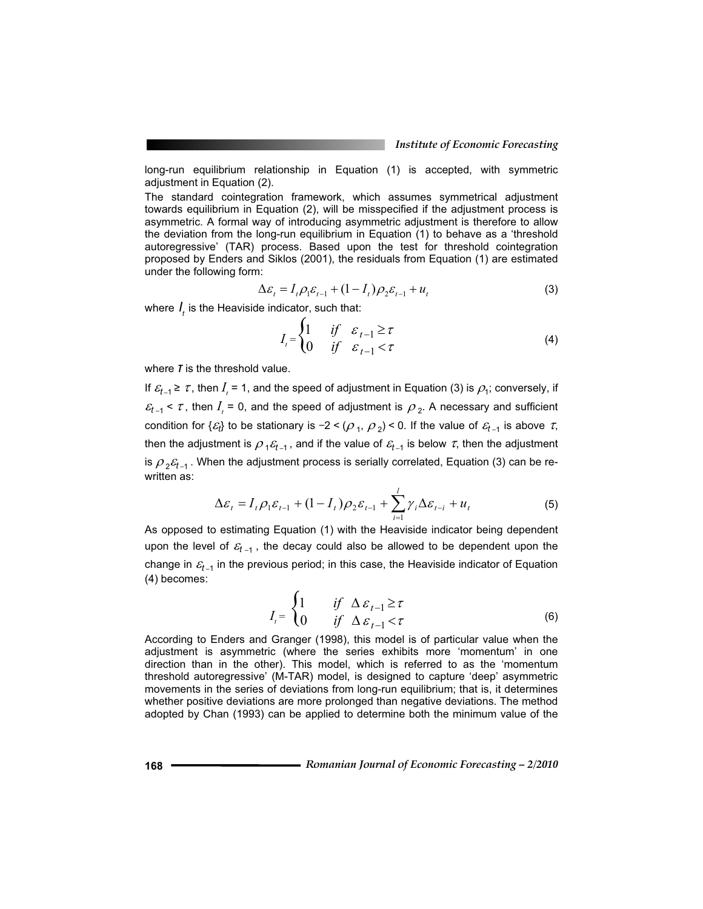long-run equilibrium relationship in Equation (1) is accepted, with symmetric adjustment in Equation (2).

The standard cointegration framework, which assumes symmetrical adjustment towards equilibrium in Equation (2), will be misspecified if the adjustment process is asymmetric. A formal way of introducing asymmetric adjustment is therefore to allow the deviation from the long-run equilibrium in Equation (1) to behave as a 'threshold autoregressive' (TAR) process. Based upon the test for threshold cointegration proposed by Enders and Siklos (2001), the residuals from Equation (1) are estimated under the following form:

$$
\Delta \varepsilon_t = I_t \rho_1 \varepsilon_{t-1} + (1 - I_t) \rho_2 \varepsilon_{t-1} + u_t
$$
\n(3)

where  $I_t$  is the Heaviside indicator, such that:

$$
I_{t} = \begin{cases} 1 & \text{if } \varepsilon_{t-1} \geq \tau \\ 0 & \text{if } \varepsilon_{t-1} < \tau \end{cases}
$$
 (4)

where *I* is the threshold value.

If  $\varepsilon_{t-1} \geq \tau$ , then  $I_t = 1$ , and the speed of adjustment in Equation (3) is  $\rho_1$ ; conversely, if  $\epsilon_{t-1}$  <  $\tau$ , then  $I_{i}$  = 0, and the speed of adjustment is  $\rho_2$ . A necessary and sufficient condition for  $\{\varepsilon_t\}$  to be stationary is –2 < ( $\rho$  <sub>1</sub>,  $\rho$  <sub>2</sub>) < 0. If the value of  $\varepsilon_{t_{-1}}$  is above  $\,\tau_{\hspace{-.1em},\,}$ then the adjustment is  $\rho_1 \varepsilon_{t-1}$ , and if the value of  $\varepsilon_{t-1}$  is below  $\tau$ , then the adjustment is  $\rho_2 \varepsilon_{t-1}$ . When the adjustment process is serially correlated, Equation (3) can be rewritten as:

$$
\Delta \varepsilon_t = I_t \rho_1 \varepsilon_{t-1} + (1 - I_t) \rho_2 \varepsilon_{t-1} + \sum_{i=1}^l \gamma_i \Delta \varepsilon_{t-i} + u_t
$$
\n<sup>(5)</sup>

As opposed to estimating Equation (1) with the Heaviside indicator being dependent upon the level of  $\varepsilon_{t-1}$ , the decay could also be allowed to be dependent upon the change in  $\varepsilon_{t-1}$  in the previous period; in this case, the Heaviside indicator of Equation (4) becomes:

$$
I_{t} = \begin{cases} 1 & \text{if } \Delta \varepsilon_{t-1} \geq \tau \\ 0 & \text{if } \Delta \varepsilon_{t-1} < \tau \end{cases}
$$
 (6)

According to Enders and Granger (1998), this model is of particular value when the adjustment is asymmetric (where the series exhibits more 'momentum' in one direction than in the other). This model, which is referred to as the 'momentum threshold autoregressive' (M-TAR) model, is designed to capture 'deep' asymmetric movements in the series of deviations from long-run equilibrium; that is, it determines whether positive deviations are more prolonged than negative deviations. The method adopted by Chan (1993) can be applied to determine both the minimum value of the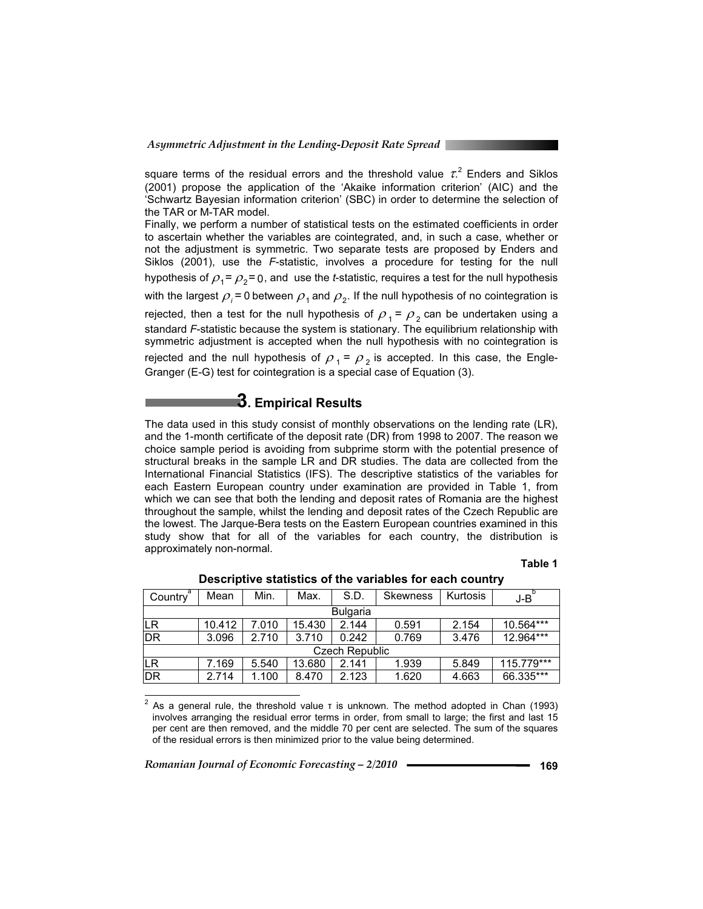square terms of the residual errors and the threshold value  $\tau$ <sup>2</sup> Enders and Siklos (2001) propose the application of the 'Akaike information criterion' (AIC) and the 'Schwartz Bayesian information criterion' (SBC) in order to determine the selection of the TAR or M-TAR model.

Finally, we perform a number of statistical tests on the estimated coefficients in order to ascertain whether the variables are cointegrated, and, in such a case, whether or not the adjustment is symmetric. Two separate tests are proposed by Enders and Siklos (2001), use the *F*-statistic, involves a procedure for testing for the null hypothesis of  $\rho_1 = \rho_2 = 0$ , and use the *t*-statistic, requires a test for the null hypothesis with the largest  $\rho_i$  = 0 between  $\rho_1$  and  $\rho_2$ . If the null hypothesis of no cointegration is rejected, then a test for the null hypothesis of  $\rho_1 = \rho_2$  can be undertaken using a standard *F*-statistic because the system is stationary. The equilibrium relationship with symmetric adjustment is accepted when the null hypothesis with no cointegration is rejected and the null hypothesis of  $\rho_1 = \rho_2$  is accepted. In this case, the Engle-Granger (E-G) test for cointegration is a special case of Equation (3).

# **3. Empirical Results**

The data used in this study consist of monthly observations on the lending rate (LR), and the 1-month certificate of the deposit rate (DR) from 1998 to 2007. The reason we choice sample period is avoiding from subprime storm with the potential presence of structural breaks in the sample LR and DR studies. The data are collected from the International Financial Statistics (IFS). The descriptive statistics of the variables for each Eastern European country under examination are provided in Table 1, from which we can see that both the lending and deposit rates of Romania are the highest throughout the sample, whilst the lending and deposit rates of the Czech Republic are the lowest. The Jarque-Bera tests on the Eastern European countries examined in this study show that for all of the variables for each country, the distribution is approximately non-normal.

#### **Table 1**

| Country <sup>ª</sup> | Mean   | Min.  | Max.   | S.D.  | <b>Skewness</b> | <b>Kurtosis</b> | $J-B$        |  |
|----------------------|--------|-------|--------|-------|-----------------|-----------------|--------------|--|
| <b>Bulgaria</b>      |        |       |        |       |                 |                 |              |  |
| LR                   | 10.412 | 7.010 | 15.430 | 2.144 | 0.591           | 2.154           | 10.564***    |  |
| DR                   | 3.096  | 2.710 | 3.710  | 0.242 | 0.769           | 3.476           | 12.964***    |  |
| Czech Republic       |        |       |        |       |                 |                 |              |  |
| ιLR                  | 7.169  | 5.540 | 13.680 | 2.141 | 1.939           | 5.849           | $115.779***$ |  |
| ∣DR                  | 2.714  | 1.100 | 8.470  | 2.123 | 1.620           | 4.663           | 66.335***    |  |

**Descriptive statistics of the variables for each country**

<sup>2</sup> As a general rule, the threshold value  $\tau$  is unknown. The method adopted in Chan (1993) involves arranging the residual error terms in order, from small to large; the first and last 15 per cent are then removed, and the middle 70 per cent are selected. The sum of the squares of the residual errors is then minimized prior to the value being determined.

*Romanian Journal of Economic Forecasting – 2/2010* **169**

 $\overline{a}$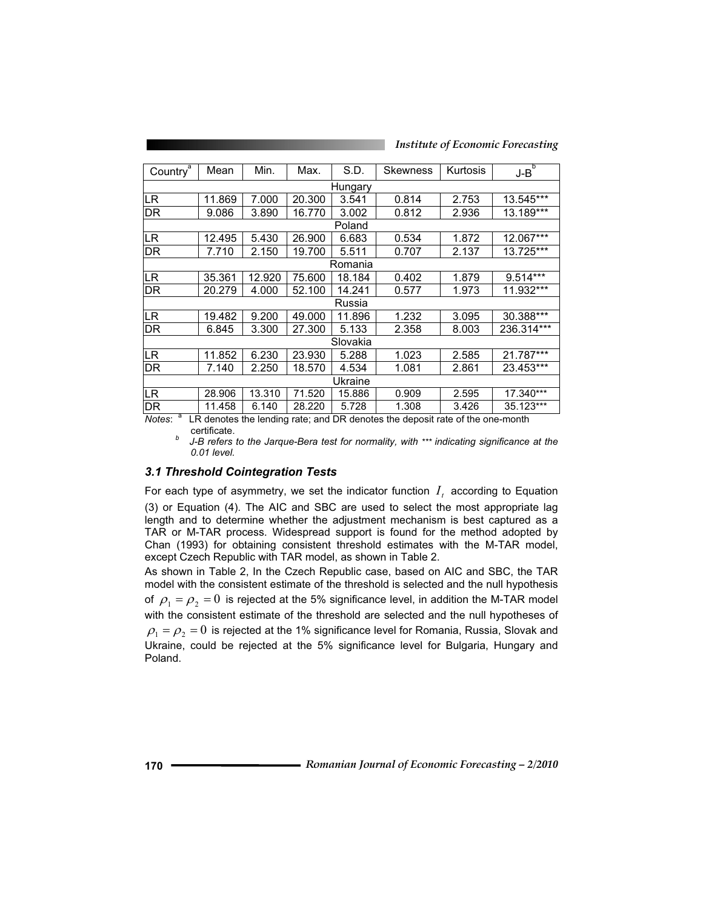*Institute of Economic Forecasting*

| Country                                                                                             | Mean   | Min.   | Max.   | S.D.    | <b>Skewness</b> | Kurtosis | চ<br>J-B    |  |
|-----------------------------------------------------------------------------------------------------|--------|--------|--------|---------|-----------------|----------|-------------|--|
| Hungary                                                                                             |        |        |        |         |                 |          |             |  |
| LR.                                                                                                 | 11.869 | 7.000  | 20.300 | 3.541   | 0.814           | 2.753    | 13.545***   |  |
| DR                                                                                                  | 9.086  | 3.890  | 16.770 | 3.002   | 0.812           | 2.936    | 13.189***   |  |
|                                                                                                     |        |        |        | Poland  |                 |          |             |  |
| LR.                                                                                                 | 12.495 | 5.430  | 26.900 | 6.683   | 0.534           | 1.872    | $12.067***$ |  |
| <b>DR</b>                                                                                           | 7.710  | 2.150  | 19.700 | 5.511   | 0.707           | 2.137    | 13.725***   |  |
|                                                                                                     |        |        |        | Romania |                 |          |             |  |
| LR                                                                                                  | 35.361 | 12.920 | 75.600 | 18.184  | 0.402           | 1.879    | $9.514***$  |  |
| DR                                                                                                  | 20.279 | 4.000  | 52.100 | 14.241  | 0.577           | 1.973    | 11.932***   |  |
| Russia                                                                                              |        |        |        |         |                 |          |             |  |
| LR.                                                                                                 | 19.482 | 9.200  | 49.000 | 11.896  | 1.232           | 3.095    | 30.388***   |  |
| DR                                                                                                  | 6.845  | 3.300  | 27.300 | 5.133   | 2.358           | 8.003    | 236.314***  |  |
| Slovakia                                                                                            |        |        |        |         |                 |          |             |  |
| LR.                                                                                                 | 11.852 | 6.230  | 23.930 | 5.288   | 1.023           | 2.585    | $21.787***$ |  |
| DR                                                                                                  | 7.140  | 2.250  | 18.570 | 4.534   | 1.081           | 2.861    | 23.453***   |  |
| Ukraine                                                                                             |        |        |        |         |                 |          |             |  |
| LR                                                                                                  | 28.906 | 13.310 | 71.520 | 15.886  | 0.909           | 2.595    | 17.340***   |  |
| DR                                                                                                  | 11.458 | 6.140  | 28.220 | 5.728   | 1.308           | 3.426    | 35.123***   |  |
| а<br>$M$ $\alpha$<br>I R denotes the lending rate: and DR denotes the denosit rate of the one-month |        |        |        |         |                 |          |             |  |

enotes the lending rate; and DR denotes the deposit rate of the one-month

certificate. *b J-B refers to the Jarque-Bera test for normality, with \*\*\* indicating significance at the 0.01 level.* 

#### *3.1 Threshold Cointegration Tests*

For each type of asymmetry, we set the indicator function  $I_t$  according to Equation (3) or Equation (4). The AIC and SBC are used to select the most appropriate lag length and to determine whether the adjustment mechanism is best captured as a TAR or M-TAR process. Widespread support is found for the method adopted by Chan (1993) for obtaining consistent threshold estimates with the M-TAR model, except Czech Republic with TAR model, as shown in Table 2.

As shown in Table 2, In the Czech Republic case, based on AIC and SBC, the TAR model with the consistent estimate of the threshold is selected and the null hypothesis of  $\rho_1 = \rho_2 = 0$  is rejected at the 5% significance level, in addition the M-TAR model with the consistent estimate of the threshold are selected and the null hypotheses of  $\rho_1 = \rho_2 = 0$  is rejected at the 1% significance level for Romania, Russia, Slovak and Ukraine, could be rejected at the 5% significance level for Bulgaria, Hungary and Poland.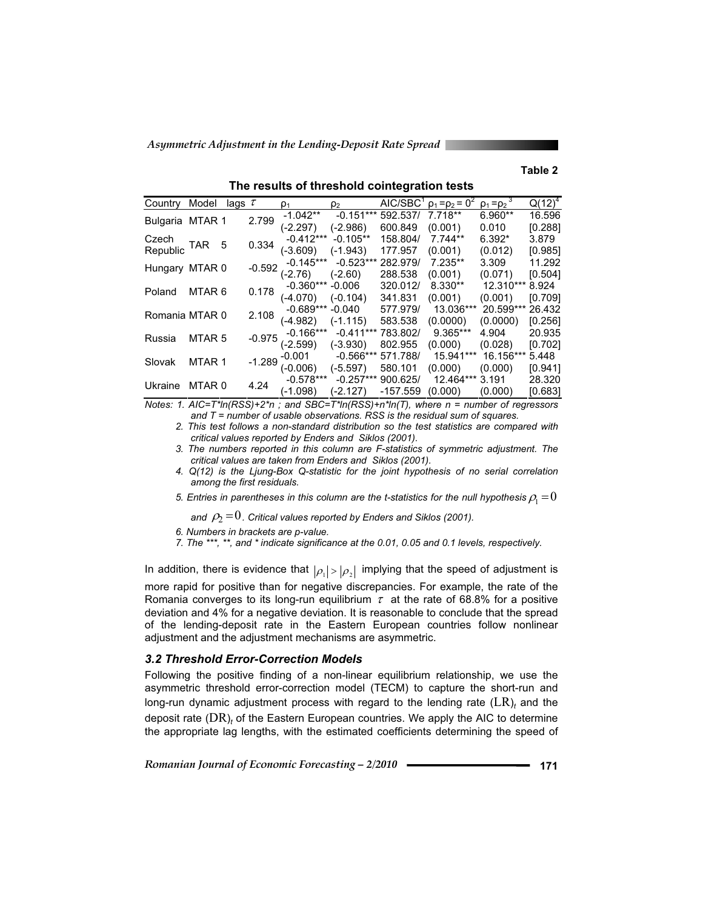#### **Table 2**

| Country                     | Model                        | lags $\tau$ |             | $\rho_1$    | ρ2          |            | AIC/SBC $\rho_1 = \rho_2 = 0^2$ | $\rho_1 = \rho_2$ | $Q(12)^4$ |
|-----------------------------|------------------------------|-------------|-------------|-------------|-------------|------------|---------------------------------|-------------------|-----------|
| Bulgaria MTAR 1             |                              | 2.799       | $-1.042**$  | $-0.151***$ | 592,537/    | $7.718**$  | 6.960**                         | 16.596            |           |
|                             |                              |             |             | (-2.297)    | (-2.986)    | 600.849    | (0.001)                         | 0.010             | [0.288]   |
|                             | Czech<br>Republic TAR<br>- 5 |             | 0.334       | $-0.412***$ | $-0.105**$  | 158.804/   | $7.744**$                       | $6.392*$          | 3.879     |
|                             |                              |             |             | (-3.609)    | (-1.943)    | 177.957    | (0.001)                         | (0.012)           | [0.985]   |
| Hungary MTAR 0              |                              |             | $-0.592$    | $-0.145***$ | $-0.523***$ | 282.979/   | 7.235**                         | 3.309             | 11.292    |
|                             |                              |             |             | (-2.76)     | (-2.60)     | 288.538    | (0.001)                         | (0.071)           | [0.504]   |
| MTAR <sub>6</sub><br>Poland |                              | 0.178       | $-0.360***$ | -0.006      | 320.012/    | $8.330**$  | 12.310***                       | 8.924             |           |
|                             |                              |             | (-4.070)    | (-0.104)    | 341.831     | (0.001)    | (0.001)                         | [0.709]           |           |
| Romania MTAR 0              |                              |             | 2.108       | $-0.689***$ | -0.040      | 577.979/   | 13.036***                       | 20.599***         | 26.432    |
|                             |                              |             |             | (-4.982)    | (-1.115)    | 583.538    | (0.0000)                        | (0.0000)          | [0.256]   |
| MTAR <sub>5</sub><br>Russia |                              | $-0.975$    | $-0.166***$ | $-0.411***$ | 783.802/    | 9.365***   | 4.904                           | 20.935            |           |
|                             |                              |             |             | (-2.599)    | (-3.930)    | 802.955    | (0.000)                         | (0.028)           | [0.702]   |
| Slovak                      | MTAR 1                       |             | $-1.289$    | $-0.001$    | $-0.566***$ | 571.788/   | 15.941***                       | 16.156***         | 5.448     |
|                             |                              |             |             | (-0.006)    | (-5.597)    | 580.101    | (0.000)                         | (0.000)           | [0.941]   |
| Ukraine                     | MTAR 0                       |             | 4.24        | $-0.578***$ | $-0.257***$ | 900.625/   | 12.464***                       | 3.191             | 28.320    |
|                             |                              |             |             | $(-1.098)$  | $-2.127$    | $-157.559$ | (0.000)                         | (0.000)           | [0.683]   |

**The results of threshold cointegration tests** 

*Notes: 1. AIC=T\*ln(RSS)+2\*n ; and SBC=T\*ln(RSS)+n\*ln(T), where n = number of regressors and T = number of usable observations. RSS is the residual sum of squares.* 

*2. This test follows a non-standard distribution so the test statistics are compared with critical values reported by Enders and Siklos (2001).* 

*3. The numbers reported in this column are F-statistics of symmetric adjustment. The critical values are taken from Enders and Siklos (2001).* 

*4. Q(12) is the Ljung-Box Q-statistic for the joint hypothesis of no serial correlation among the first residuals.* 

5. Entries in parentheses in this column are the t-statistics for the null hypothesis  $\rho_1 = 0$ 

and  $\rho_2$  = 0. Critical values reported by Enders and Siklos (2001).

*6. Numbers in brackets are p-value.* 

*7. The \*\*\*, \*\*, and \* indicate significance at the 0.01, 0.05 and 0.1 levels, respectively.* 

In addition, there is evidence that  $|\rho_1| > |\rho_2|$  implying that the speed of adjustment is more rapid for positive than for negative discrepancies. For example, the rate of the Romania converges to its long-run equilibrium  $\tau$  at the rate of 68.8% for a positive deviation and 4% for a negative deviation. It is reasonable to conclude that the spread of the lending-deposit rate in the Eastern European countries follow nonlinear adjustment and the adjustment mechanisms are asymmetric.

#### *3.2 Threshold Error-Correction Models*

Following the positive finding of a non-linear equilibrium relationship, we use the asymmetric threshold error-correction model (TECM) to capture the short-run and long-run dynamic adjustment process with regard to the lending rate  $(LR)_t$  and the deposit rate (DR)<sub>t</sub> of the Eastern European countries. We apply the AIC to determine the appropriate lag lengths, with the estimated coefficients determining the speed of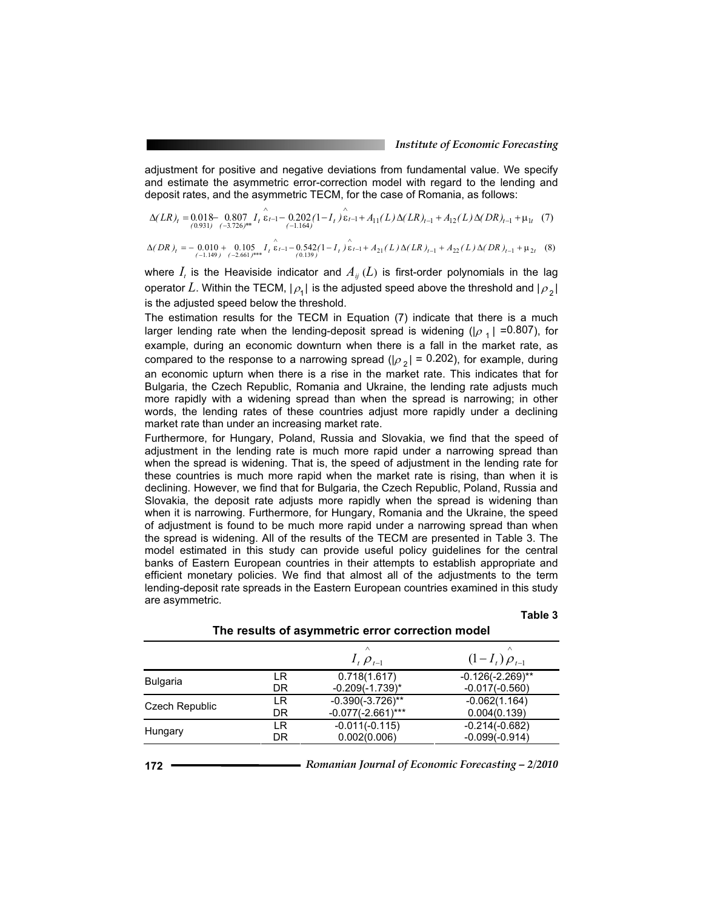adjustment for positive and negative deviations from fundamental value. We specify and estimate the asymmetric error-correction model with regard to the lending and deposit rates, and the asymmetric TECM, for the case of Romania, as follows:

$$
\Delta(LR)_t = 0.018 - 0.807 I_t \hat{\epsilon}_{t-1} - 0.202 (1 - I_t) \hat{\epsilon}_{t-1} + A_{11}(L) \Delta(LR)_{t-1} + A_{12}(L) \Delta(DR)_{t-1} + \mu_{1t} (7)
$$

$$
\Delta (DR)_t = -\underbrace{0.010}_{(-1.149)} + \underbrace{0.105}_{(-2.661)^{***}} I_t \overbrace{\varepsilon_{t-1}}^{\wedge} - \underbrace{0.542}_{(0.139)} (1 - I_t) \overbrace{\varepsilon_{t-1}}^{\wedge} + A_{21}(L) \Delta (LR)_{t-1} + A_{22}(L) \Delta (DR)_{t-1} + \mu_{2t} \tag{8}
$$

where  $I_t$  is the Heaviside indicator and  $A_{ij}(L)$  is first-order polynomials in the lag operator L. Within the TECM,  $|\rho_1|$  is the adjusted speed above the threshold and  $|\rho_2|$ is the adjusted speed below the threshold.

The estimation results for the TECM in Equation (7) indicate that there is a much larger lending rate when the lending-deposit spread is widening ( $|\rho_1|$  =0.807), for example, during an economic downturn when there is a fall in the market rate, as compared to the response to a narrowing spread ( $|\rho_2|$  = 0.202), for example, during an economic upturn when there is a rise in the market rate. This indicates that for Bulgaria, the Czech Republic, Romania and Ukraine, the lending rate adjusts much more rapidly with a widening spread than when the spread is narrowing; in other words, the lending rates of these countries adjust more rapidly under a declining market rate than under an increasing market rate.

Furthermore, for Hungary, Poland, Russia and Slovakia, we find that the speed of adjustment in the lending rate is much more rapid under a narrowing spread than when the spread is widening. That is, the speed of adjustment in the lending rate for these countries is much more rapid when the market rate is rising, than when it is declining. However, we find that for Bulgaria, the Czech Republic, Poland, Russia and Slovakia, the deposit rate adjusts more rapidly when the spread is widening than when it is narrowing. Furthermore, for Hungary, Romania and the Ukraine, the speed of adjustment is found to be much more rapid under a narrowing spread than when the spread is widening. All of the results of the TECM are presented in Table 3. The model estimated in this study can provide useful policy guidelines for the central banks of Eastern European countries in their attempts to establish appropriate and efficient monetary policies. We find that almost all of the adjustments to the term lending-deposit rate spreads in the Eastern European countries examined in this study are asymmetric.

|  |  |  | able |  |
|--|--|--|------|--|
|--|--|--|------|--|

|                 |          | $I_{t} \rho_{t-1}$                   | $(1-I_t)\rho_{t=1}$                     |
|-----------------|----------|--------------------------------------|-----------------------------------------|
| <b>Bulgaria</b> | LR<br>DR | 0.718(1.617)<br>$-0.209(-1.739)^{*}$ | $-0.126(-2.269)$ **<br>$-0.017(-0.560)$ |
| Czech Republic  | LR       | $-0.390(-3.726)$ **                  | $-0.062(1.164)$                         |
|                 | DR       | $-0.077(-2.661)***$                  | 0.004(0.139)                            |
| Hungary         | LR       | $-0.011(-0.115)$                     | $-0.214(-0.682)$                        |
|                 | DR       | 0.002(0.006)                         | $-0.099(-0.914)$                        |

**The results of asymmetric error correction model**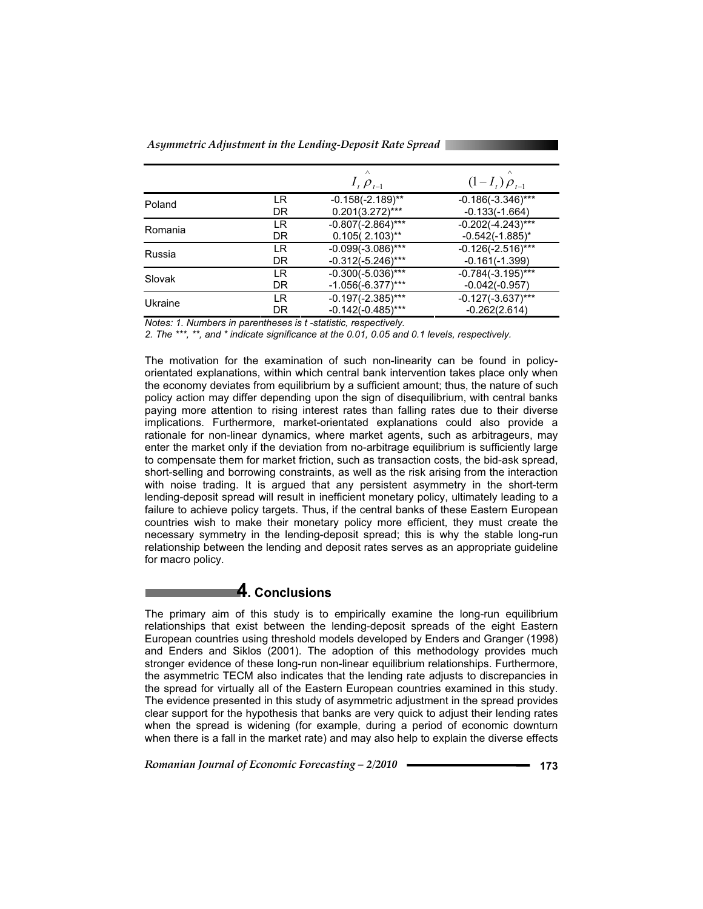|         |    | $I_{t}$ $\rho_{t-1}$ | $\wedge$<br>$(1-I_t)\rho_{t-1}$ |
|---------|----|----------------------|---------------------------------|
| Poland  | LR | $-0.158(-2.189)$ **  | $-0.186(-3.346)$ ***            |
|         | DR | $0.201(3.272)$ ***   | $-0.133(-1.664)$                |
| Romania | LR | $-0.807(-2.864)$ *** | $-0.202(-4.243)$ ***            |
|         | DR | $0.105(2.103)$ **    | $-0.542(-1.885)^{*}$            |
| Russia  | LR | $-0.099(-3.086)$ *** | $-0.126(-2.516)***$             |
|         | DR | $-0.312(-5.246)$ *** | $-0.161(-1.399)$                |
| Slovak  | LR | $-0.300(-5.036)$ *** | $-0.784(-3.195)$ ***            |
|         | DR | $-1.056(-6.377)$ *** | $-0.042(-0.957)$                |
| Ukraine | LR | $-0.197(-2.385)$ *** | $-0.127(-3.637)$ ***            |
|         | DR | $-0.142(-0.485)$ *** | $-0.262(2.614)$                 |

*Notes: 1. Numbers in parentheses is t -statistic, respectively.* 

*2. The \*\*\*, \*\*, and \* indicate significance at the 0.01, 0.05 and 0.1 levels, respectively.* 

The motivation for the examination of such non-linearity can be found in policyorientated explanations, within which central bank intervention takes place only when the economy deviates from equilibrium by a sufficient amount; thus, the nature of such policy action may differ depending upon the sign of disequilibrium, with central banks paying more attention to rising interest rates than falling rates due to their diverse implications. Furthermore, market-orientated explanations could also provide a rationale for non-linear dynamics, where market agents, such as arbitrageurs, may enter the market only if the deviation from no-arbitrage equilibrium is sufficiently large to compensate them for market friction, such as transaction costs, the bid-ask spread, short-selling and borrowing constraints, as well as the risk arising from the interaction with noise trading. It is argued that any persistent asymmetry in the short-term lending-deposit spread will result in inefficient monetary policy, ultimately leading to a failure to achieve policy targets. Thus, if the central banks of these Eastern European countries wish to make their monetary policy more efficient, they must create the necessary symmetry in the lending-deposit spread; this is why the stable long-run relationship between the lending and deposit rates serves as an appropriate guideline for macro policy.

### **4. Conclusions**

The primary aim of this study is to empirically examine the long-run equilibrium relationships that exist between the lending-deposit spreads of the eight Eastern European countries using threshold models developed by Enders and Granger (1998) and Enders and Siklos (2001). The adoption of this methodology provides much stronger evidence of these long-run non-linear equilibrium relationships. Furthermore, the asymmetric TECM also indicates that the lending rate adjusts to discrepancies in the spread for virtually all of the Eastern European countries examined in this study. The evidence presented in this study of asymmetric adjustment in the spread provides clear support for the hypothesis that banks are very quick to adjust their lending rates when the spread is widening (for example, during a period of economic downturn when there is a fall in the market rate) and may also help to explain the diverse effects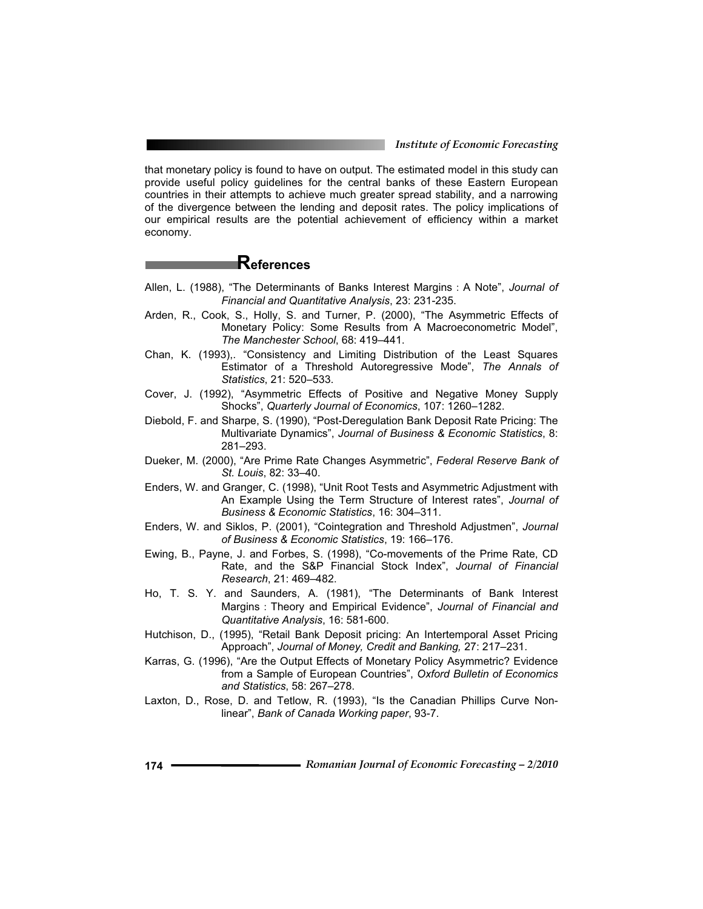*Institute of Economic Forecasting*

that monetary policy is found to have on output. The estimated model in this study can provide useful policy guidelines for the central banks of these Eastern European countries in their attempts to achieve much greater spread stability, and a narrowing of the divergence between the lending and deposit rates. The policy implications of our empirical results are the potential achievement of efficiency within a market economy.

# **References**

- Allen, L. (1988), "The Determinants of Banks Interest Margins: A Note", *Journal of Financial and Quantitative Analysis*, 23: 231-235.
- Arden, R., Cook, S., Holly, S. and Turner, P. (2000), "The Asymmetric Effects of Monetary Policy: Some Results from A Macroeconometric Model", *The Manchester School*, 68: 419–441.
- Chan, K. (1993),. "Consistency and Limiting Distribution of the Least Squares Estimator of a Threshold Autoregressive Mode", *The Annals of Statistics*, 21: 520–533.
- Cover, J. (1992), "Asymmetric Effects of Positive and Negative Money Supply Shocks", *Quarterly Journal of Economics*, 107: 1260–1282.
- Diebold, F. and Sharpe, S. (1990), "Post-Deregulation Bank Deposit Rate Pricing: The Multivariate Dynamics", *Journal of Business & Economic Statistics*, 8: 281–293.
- Dueker, M. (2000), "Are Prime Rate Changes Asymmetric", *Federal Reserve Bank of St. Louis*, 82: 33–40.
- Enders, W. and Granger, C. (1998), "Unit Root Tests and Asymmetric Adjustment with An Example Using the Term Structure of Interest rates", *Journal of Business & Economic Statistics*, 16: 304–311.
- Enders, W. and Siklos, P. (2001), "Cointegration and Threshold Adjustmen", *Journal of Business & Economic Statistics*, 19: 166–176.
- Ewing, B., Payne, J. and Forbes, S. (1998), "Co-movements of the Prime Rate, CD Rate, and the S&P Financial Stock Index", *Journal of Financial Research*, 21: 469–482.
- Ho, T. S. Y. and Saunders, A. (1981), "The Determinants of Bank Interest Margins㧦Theory and Empirical Evidence", *Journal of Financial and Quantitative Analysis*, 16: 581-600.
- Hutchison, D., (1995), "Retail Bank Deposit pricing: An Intertemporal Asset Pricing Approach", *Journal of Money, Credit and Banking,* 27: 217–231.
- Karras, G. (1996), "Are the Output Effects of Monetary Policy Asymmetric? Evidence from a Sample of European Countries", *Oxford Bulletin of Economics and Statistics*, 58: 267–278.
- Laxton, D., Rose, D. and Tetlow, R. (1993), "Is the Canadian Phillips Curve Nonlinear", *Bank of Canada Working paper*, 93-7.